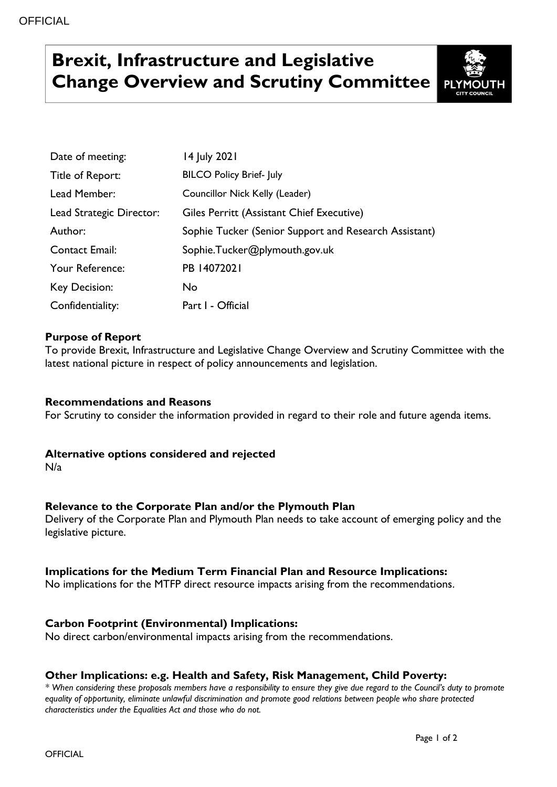# **Brexit, Infrastructure and Legislative Change Overview and Scrutiny Committee**



| Date of meeting:         | 14 July 2021                                          |
|--------------------------|-------------------------------------------------------|
| Title of Report:         | <b>BILCO Policy Brief- July</b>                       |
| Lead Member:             | Councillor Nick Kelly (Leader)                        |
| Lead Strategic Director: | Giles Perritt (Assistant Chief Executive)             |
| Author:                  | Sophie Tucker (Senior Support and Research Assistant) |
| <b>Contact Email:</b>    | Sophie.Tucker@plymouth.gov.uk                         |
| Your Reference:          | PB 14072021                                           |
| Key Decision:            | No.                                                   |
| Confidentiality:         | Part I - Official                                     |

## **Purpose of Report**

To provide Brexit, Infrastructure and Legislative Change Overview and Scrutiny Committee with the latest national picture in respect of policy announcements and legislation.

#### **Recommendations and Reasons**

For Scrutiny to consider the information provided in regard to their role and future agenda items.

#### **Alternative options considered and rejected**

N/a

## **Relevance to the Corporate Plan and/or the Plymouth Plan**

Delivery of the Corporate Plan and Plymouth Plan needs to take account of emerging policy and the legislative picture.

## **Implications for the Medium Term Financial Plan and Resource Implications:**

No implications for the MTFP direct resource impacts arising from the recommendations.

## **Carbon Footprint (Environmental) Implications:**

No direct carbon/environmental impacts arising from the recommendations.

#### **Other Implications: e.g. Health and Safety, Risk Management, Child Poverty:**

*\* When considering these proposals members have a responsibility to ensure they give due regard to the Council's duty to promote equality of opportunity, eliminate unlawful discrimination and promote good relations between people who share protected characteristics under the Equalities Act and those who do not.*